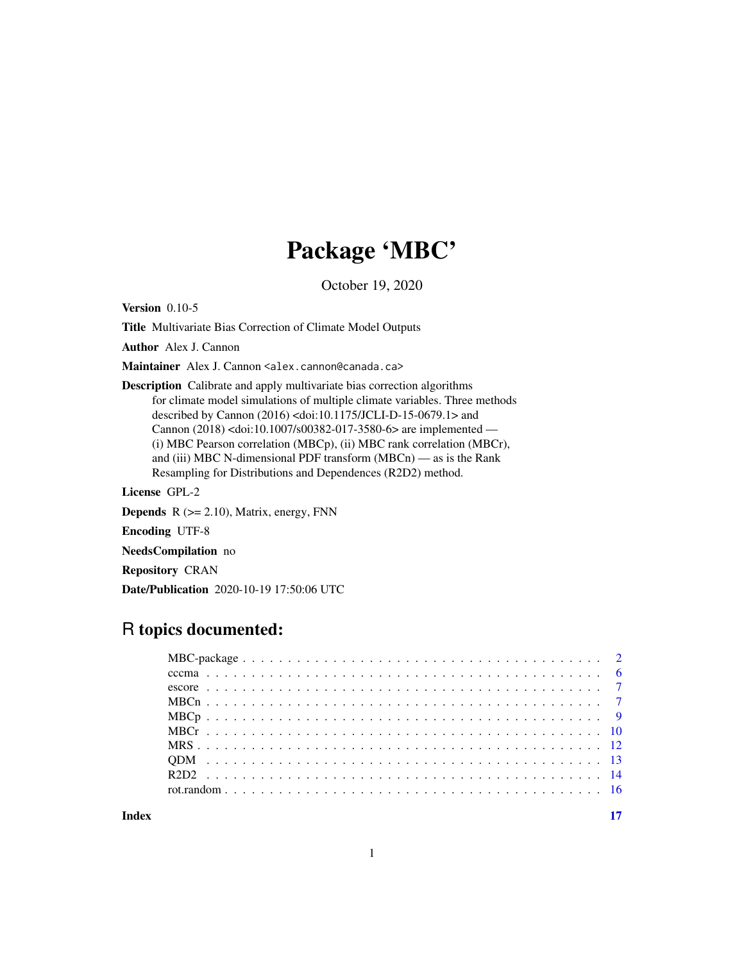# Package 'MBC'

October 19, 2020

Version 0.10-5

Title Multivariate Bias Correction of Climate Model Outputs

Author Alex J. Cannon

Maintainer Alex J. Cannon <alex.cannon@canada.ca>

Description Calibrate and apply multivariate bias correction algorithms for climate model simulations of multiple climate variables. Three methods described by Cannon (2016) <doi:10.1175/JCLI-D-15-0679.1> and Cannon (2018) <doi:10.1007/s00382-017-3580-6> are implemented — (i) MBC Pearson correlation (MBCp), (ii) MBC rank correlation (MBCr), and (iii) MBC N-dimensional PDF transform (MBCn) — as is the Rank Resampling for Distributions and Dependences (R2D2) method.

License GPL-2

**Depends**  $R$  ( $>= 2.10$ ), Matrix, energy, FNN

Encoding UTF-8

NeedsCompilation no

Repository CRAN

Date/Publication 2020-10-19 17:50:06 UTC

# R topics documented:

**Index** [17](#page-16-0)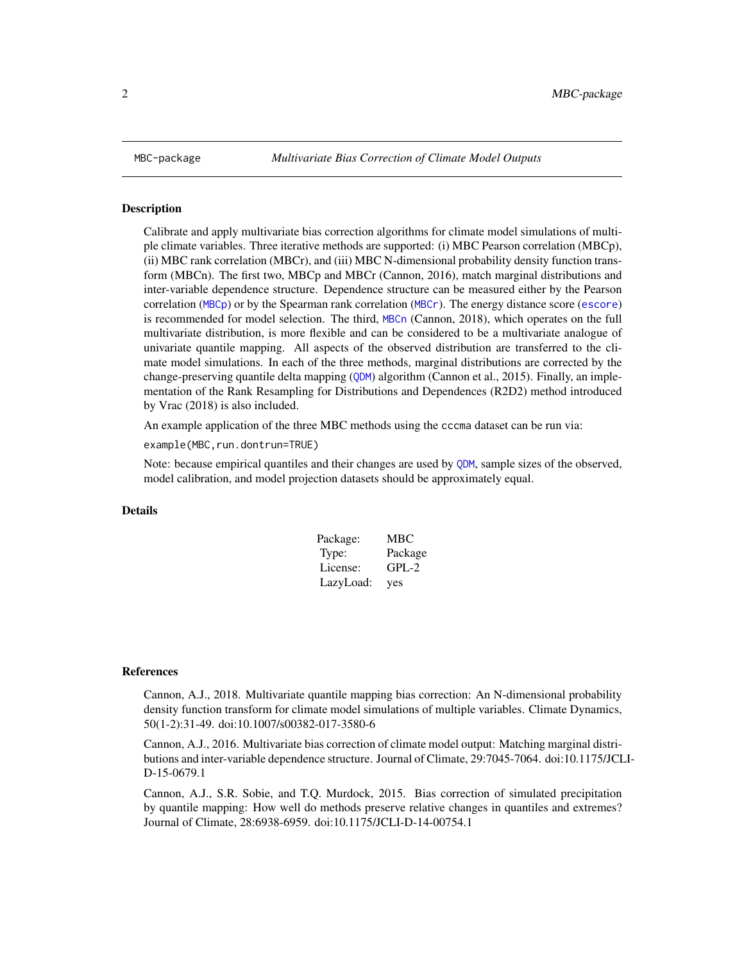<span id="page-1-0"></span>

#### Description

Calibrate and apply multivariate bias correction algorithms for climate model simulations of multiple climate variables. Three iterative methods are supported: (i) MBC Pearson correlation (MBCp), (ii) MBC rank correlation (MBCr), and (iii) MBC N-dimensional probability density function transform (MBCn). The first two, MBCp and MBCr (Cannon, 2016), match marginal distributions and inter-variable dependence structure. Dependence structure can be measured either by the Pearson correlation ([MBCp](#page-8-1)) or by the Spearman rank correlation ([MBCr](#page-9-1)). The energy distance score ([escore](#page-6-1)) is recommended for model selection. The third, [MBCn](#page-6-2) (Cannon, 2018), which operates on the full multivariate distribution, is more flexible and can be considered to be a multivariate analogue of univariate quantile mapping. All aspects of the observed distribution are transferred to the climate model simulations. In each of the three methods, marginal distributions are corrected by the change-preserving quantile delta mapping ([QDM](#page-12-1)) algorithm (Cannon et al., 2015). Finally, an implementation of the Rank Resampling for Distributions and Dependences (R2D2) method introduced by Vrac (2018) is also included.

An example application of the three MBC methods using the cccma dataset can be run via:

example(MBC,run.dontrun=TRUE)

Note: because empirical quantiles and their changes are used by [QDM](#page-12-1), sample sizes of the observed, model calibration, and model projection datasets should be approximately equal.

# Details

| Package:  | MBC     |
|-----------|---------|
| Type:     | Package |
| License:  | $GPL-2$ |
| LazyLoad: | yes     |

#### References

Cannon, A.J., 2018. Multivariate quantile mapping bias correction: An N-dimensional probability density function transform for climate model simulations of multiple variables. Climate Dynamics, 50(1-2):31-49. doi:10.1007/s00382-017-3580-6

Cannon, A.J., 2016. Multivariate bias correction of climate model output: Matching marginal distributions and inter-variable dependence structure. Journal of Climate, 29:7045-7064. doi:10.1175/JCLI-D-15-0679.1

Cannon, A.J., S.R. Sobie, and T.Q. Murdock, 2015. Bias correction of simulated precipitation by quantile mapping: How well do methods preserve relative changes in quantiles and extremes? Journal of Climate, 28:6938-6959. doi:10.1175/JCLI-D-14-00754.1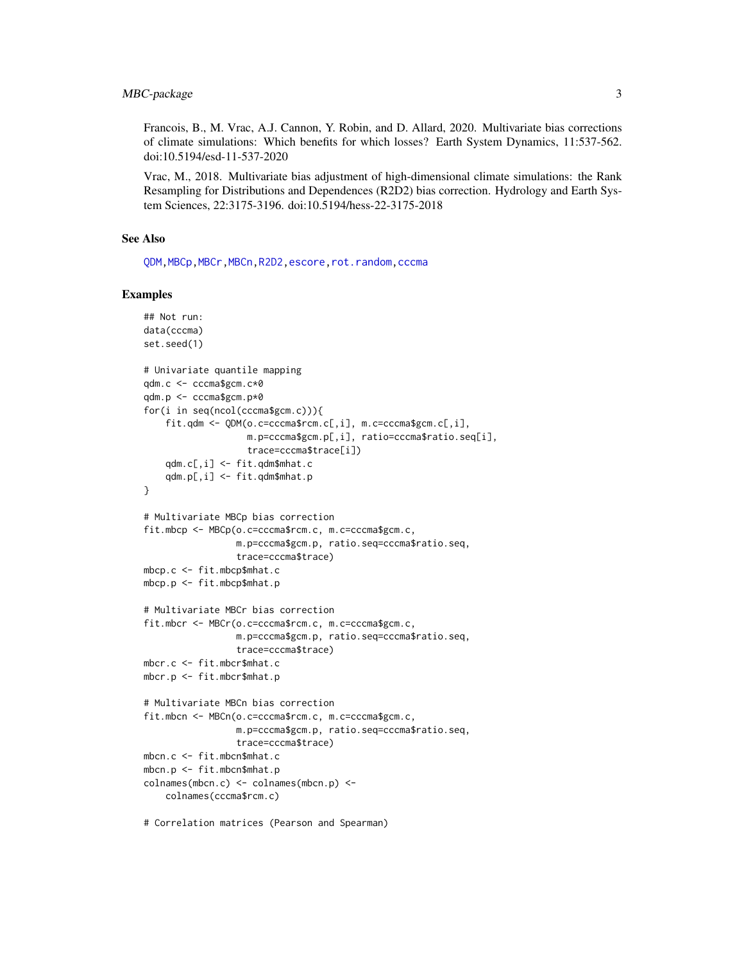<span id="page-2-0"></span>Francois, B., M. Vrac, A.J. Cannon, Y. Robin, and D. Allard, 2020. Multivariate bias corrections of climate simulations: Which benefits for which losses? Earth System Dynamics, 11:537-562. doi:10.5194/esd-11-537-2020

Vrac, M., 2018. Multivariate bias adjustment of high-dimensional climate simulations: the Rank Resampling for Distributions and Dependences (R2D2) bias correction. Hydrology and Earth System Sciences, 22:3175-3196. doi:10.5194/hess-22-3175-2018

# See Also

[QDM](#page-12-1)[,MBCp](#page-8-1)[,MBCr](#page-9-1)[,MBCn](#page-6-2)[,R2D2,](#page-13-1)[escore,](#page-6-1)[rot.random,](#page-15-1)[cccma](#page-5-1)

#### Examples

```
## Not run:
data(cccma)
set.seed(1)
# Univariate quantile mapping
qdm.c <- cccma$gcm.c*0
qdm.p <- cccma$gcm.p*0
for(i in seq(ncol(cccma$gcm.c))){
    fit.qdm <- QDM(o.c=cccma$rcm.c[,i], m.c=cccma$gcm.c[,i],
                   m.p=cccma$gcm.p[,i], ratio=cccma$ratio.seq[i],
                   trace=cccma$trace[i])
    qdm.c[,i] <- fit.qdm$mhat.c
    qdm.p[,i] <- fit.qdm$mhat.p
}
# Multivariate MBCp bias correction
fit.mbcp <- MBCp(o.c=cccma$rcm.c, m.c=cccma$gcm.c,
                 m.p=cccma$gcm.p, ratio.seq=cccma$ratio.seq,
                 trace=cccma$trace)
mbcp.c <- fit.mbcp$mhat.c
mbcp.p <- fit.mbcp$mhat.p
# Multivariate MBCr bias correction
fit.mbcr <- MBCr(o.c=cccma$rcm.c, m.c=cccma$gcm.c,
                 m.p=cccma$gcm.p, ratio.seq=cccma$ratio.seq,
                 trace=cccma$trace)
mbcr.c <- fit.mbcr$mhat.c
mbcr.p <- fit.mbcr$mhat.p
# Multivariate MBCn bias correction
fit.mbcn <- MBCn(o.c=cccma$rcm.c, m.c=cccma$gcm.c,
                 m.p=cccma$gcm.p, ratio.seq=cccma$ratio.seq,
                 trace=cccma$trace)
mbcn.c <- fit.mbcn$mhat.c
mbcn.p <- fit.mbcn$mhat.p
colnames(mbcn.c) <- colnames(mbcn.p) <-
    colnames(cccma$rcm.c)
# Correlation matrices (Pearson and Spearman)
```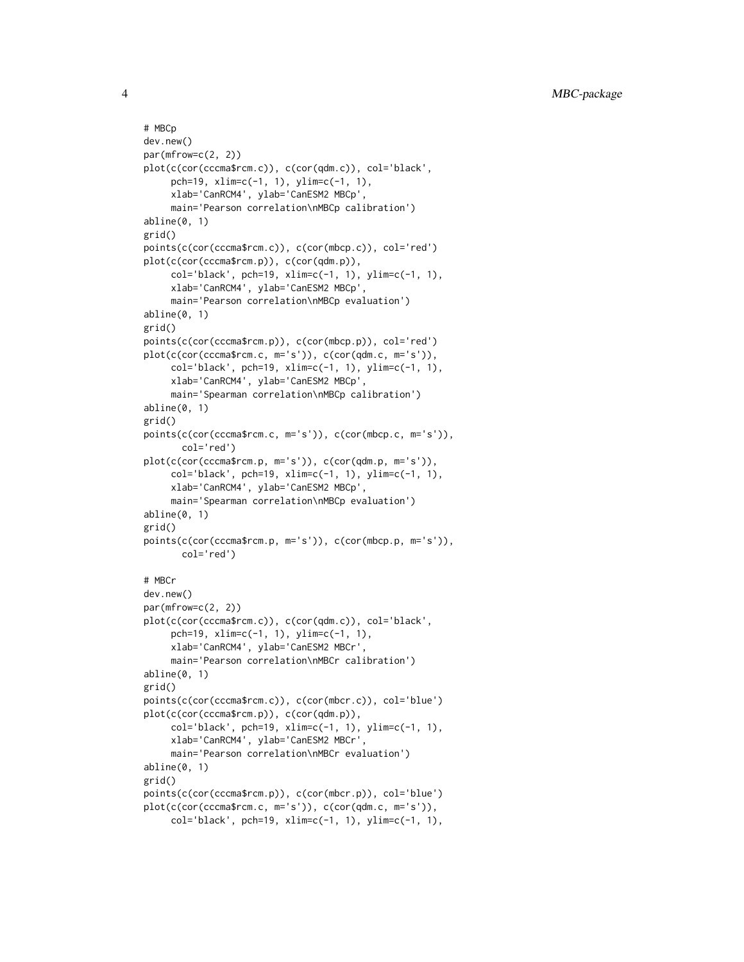```
# MBCp
dev.new()
par(mfrow=c(2, 2))
plot(c(cor(cccma$rcm.c)), c(cor(qdm.c)), col='black',
     pch=19, xlim=c(-1, 1), ylim=c(-1, 1),
     xlab='CanRCM4', ylab='CanESM2 MBCp',
     main='Pearson correlation\nMBCp calibration')
abline(0, 1)
grid()
points(c(cor(cccma$rcm.c)), c(cor(mbcp.c)), col='red')
plot(c(cor(cccma$rcm.p)), c(cor(qdm.p)),
     col='black', pch=19, xlim=c(-1, 1), ylim=c(-1, 1),
     xlab='CanRCM4', ylab='CanESM2 MBCp',
     main='Pearson correlation\nMBCp evaluation')
abline(0, 1)
grid()
points(c(cor(cccma$rcm.p)), c(cor(mbcp.p)), col='red')
plot(c(cor(cccma$rcm.c, m='s')), c(cor(qdm.c, m='s')),
     col='black', pch=19, xlim=c(-1, 1), ylim=c(-1, 1),
     xlab='CanRCM4', ylab='CanESM2 MBCp',
     main='Spearman correlation\nMBCp calibration')
abline(0, 1)
grid()
points(c(cor(cccma$rcm.c, m='s')), c(cor(mbcp.c, m='s')),
       col='red')
plot(c(cor(cccma$rcm.p, m='s')), c(cor(qdm.p, m='s')),
     col='black', pch=19, xlim=c(-1, 1), ylim=c(-1, 1),
     xlab='CanRCM4', ylab='CanESM2 MBCp',
     main='Spearman correlation\nMBCp evaluation')
abline(0, 1)
grid()
points(c(cor(cccma$rcm.p, m='s')), c(cor(mbcp.p, m='s')),
       col='red')
# MBCr
dev.new()
par(mfrow=c(2, 2))
plot(c(cor(cccma$rcm.c)), c(cor(qdm.c)), col='black',
     pch=19, xlim=c(-1, 1), ylim=c(-1, 1),
     xlab='CanRCM4', ylab='CanESM2 MBCr',
     main='Pearson correlation\nMBCr calibration')
abline(0, 1)
grid()
points(c(cor(cccma$rcm.c)), c(cor(mbcr.c)), col='blue')
plot(c(cor(cccma$rcm.p)), c(cor(qdm.p)),
     col='black', pch=19, xlim=c(-1, 1), ylim=c(-1, 1),
     xlab='CanRCM4', ylab='CanESM2 MBCr',
     main='Pearson correlation\nMBCr evaluation')
abline(0, 1)
grid()
points(c(cor(cccma$rcm.p)), c(cor(mbcr.p)), col='blue')
plot(c(cor(cccma$rcm.c, m='s')), c(cor(qdm.c, m='s')),
     col='black', pch=19, xlim=c(-1, 1), ylim=c(-1, 1),
```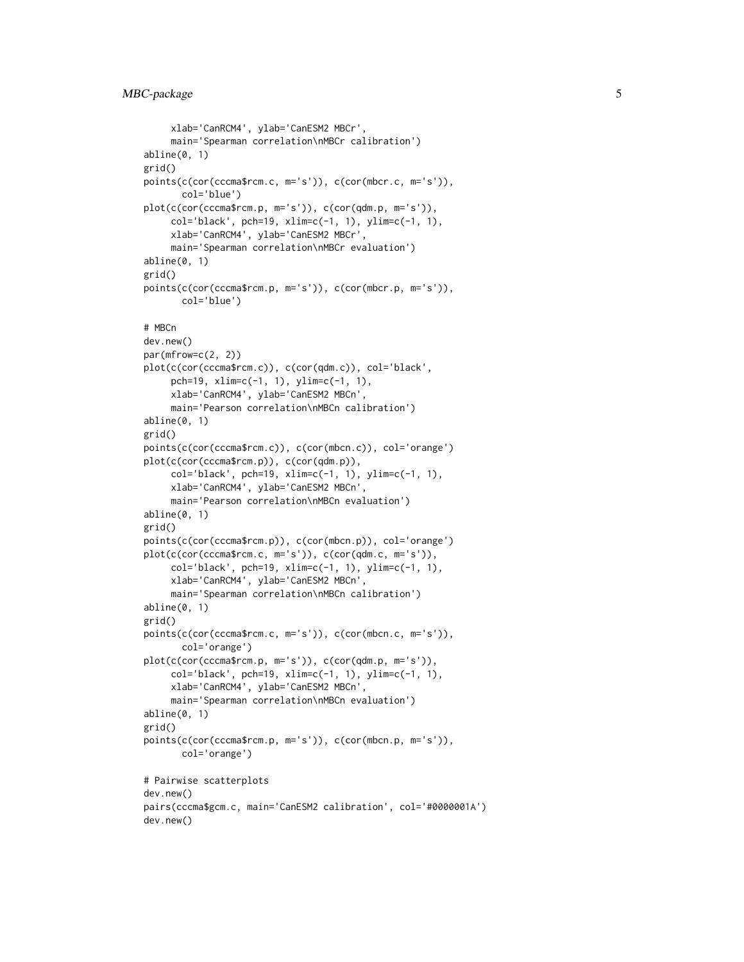```
xlab='CanRCM4', ylab='CanESM2 MBCr',
     main='Spearman correlation\nMBCr calibration')
abline(0, 1)
grid()
points(c(cor(cccma$rcm.c, m='s')), c(cor(mbcr.c, m='s')),
       col='blue')
plot(c(cor(cccma$rcm.p, m='s')), c(cor(qdm.p, m='s')),
     col='black', pch=19, xlim=c(-1, 1), ylim=c(-1, 1),
     xlab='CanRCM4', ylab='CanESM2 MBCr',
     main='Spearman correlation\nMBCr evaluation')
abline(0, 1)
grid()
points(c(cor(cccma$rcm.p, m='s')), c(cor(mbcr.p, m='s')),
       col='blue')
# MBCn
dev.new()
par(mfrow=c(2, 2))
plot(c(cor(cccma$rcm.c)), c(cor(qdm.c)), col='black',
     pch=19, xlim=c(-1, 1), ylim=c(-1, 1),
     xlab='CanRCM4', ylab='CanESM2 MBCn',
     main='Pearson correlation\nMBCn calibration')
abline(0, 1)
grid()
points(c(cor(cccma$rcm.c)), c(cor(mbcn.c)), col='orange')
plot(c(cor(cccma$rcm.p)), c(cor(qdm.p)),
     col='black', pch=19, xlim=c(-1, 1), ylim=c(-1, 1),
     xlab='CanRCM4', ylab='CanESM2 MBCn',
     main='Pearson correlation\nMBCn evaluation')
abline(0, 1)
grid()
points(c(cor(cccma$rcm.p)), c(cor(mbcn.p)), col='orange')
plot(c(cor(cccma$rcm.c, m='s')), c(cor(qdm.c, m='s')),
     col='black', pch=19, xlim=c(-1, 1), ylim=c(-1, 1),
     xlab='CanRCM4', ylab='CanESM2 MBCn',
     main='Spearman correlation\nMBCn calibration')
abline(0, 1)
grid()
points(c(cor(cccma$rcm.c, m='s')), c(cor(mbcn.c, m='s')),
       col='orange')
plot(c(cor(cccma$rcm.p, m='s')), c(cor(qdm.p, m='s')),
     col='black', pch=19, xlim=c(-1, 1), ylim=c(-1, 1),
     xlab='CanRCM4', ylab='CanESM2 MBCn',
     main='Spearman correlation\nMBCn evaluation')
abline(0, 1)
grid()
points(c(cor(cccma$rcm.p, m='s')), c(cor(mbcn.p, m='s')),
       col='orange')
# Pairwise scatterplots
dev.new()
pairs(cccma$gcm.c, main='CanESM2 calibration', col='#0000001A')
dev.new()
```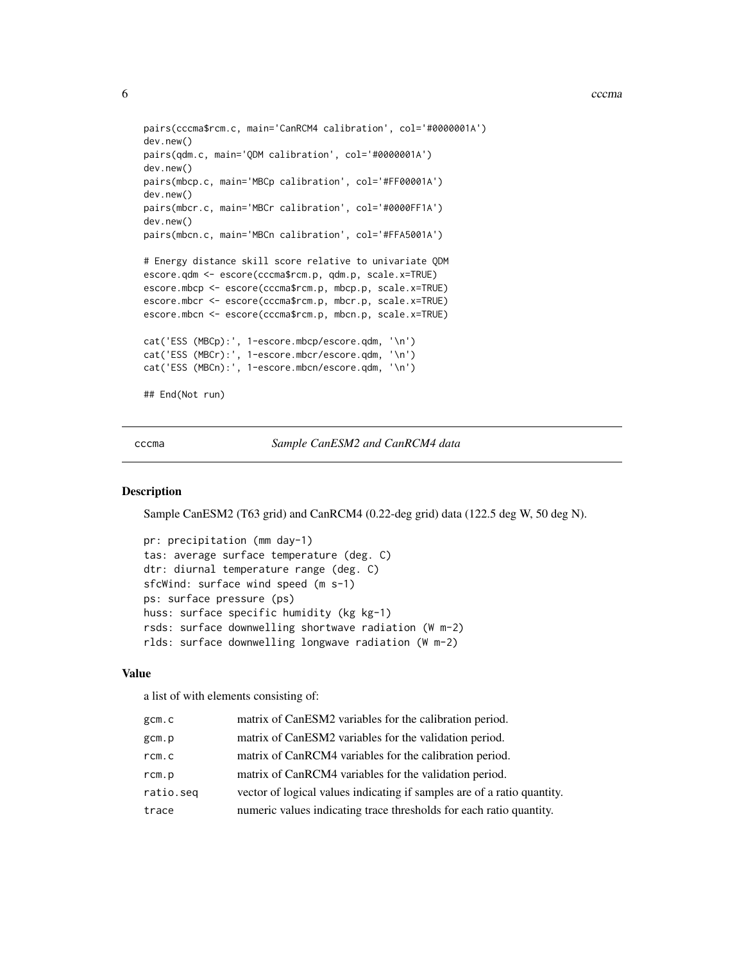```
pairs(cccma$rcm.c, main='CanRCM4 calibration', col='#0000001A')
dev.new()
pairs(qdm.c, main='QDM calibration', col='#0000001A')
dev.new()
pairs(mbcp.c, main='MBCp calibration', col='#FF00001A')
dev.new()
pairs(mbcr.c, main='MBCr calibration', col='#0000FF1A')
dev.new()
pairs(mbcn.c, main='MBCn calibration', col='#FFA5001A')
# Energy distance skill score relative to univariate QDM
escore.qdm <- escore(cccma$rcm.p, qdm.p, scale.x=TRUE)
escore.mbcp <- escore(cccma$rcm.p, mbcp.p, scale.x=TRUE)
escore.mbcr <- escore(cccma$rcm.p, mbcr.p, scale.x=TRUE)
escore.mbcn <- escore(cccma$rcm.p, mbcn.p, scale.x=TRUE)
cat('ESS (MBCp):', 1-escore.mbcp/escore.qdm, '\n')
cat('ESS (MBCr):', 1-escore.mbcr/escore.qdm, '\n')
cat('ESS (MBCn):', 1-escore.mbcn/escore.qdm, '\n')
## End(Not run)
```
<span id="page-5-1"></span>cccma *Sample CanESM2 and CanRCM4 data*

#### Description

Sample CanESM2 (T63 grid) and CanRCM4 (0.22-deg grid) data (122.5 deg W, 50 deg N).

```
pr: precipitation (mm day-1)
tas: average surface temperature (deg. C)
dtr: diurnal temperature range (deg. C)
sfcWind: surface wind speed (m s-1)
ps: surface pressure (ps)
huss: surface specific humidity (kg kg-1)
rsds: surface downwelling shortwave radiation (W m-2)
rlds: surface downwelling longwave radiation (W m-2)
```
# Value

a list of with elements consisting of:

| gcm.c     | matrix of CanESM2 variables for the calibration period.                 |
|-----------|-------------------------------------------------------------------------|
| gcm.p     | matrix of CanESM2 variables for the validation period.                  |
| rcm.c     | matrix of CanRCM4 variables for the calibration period.                 |
| rcm.p     | matrix of CanRCM4 variables for the validation period.                  |
| ratio.seq | vector of logical values indicating if samples are of a ratio quantity. |
| trace     | numeric values indicating trace thresholds for each ratio quantity.     |

<span id="page-5-0"></span>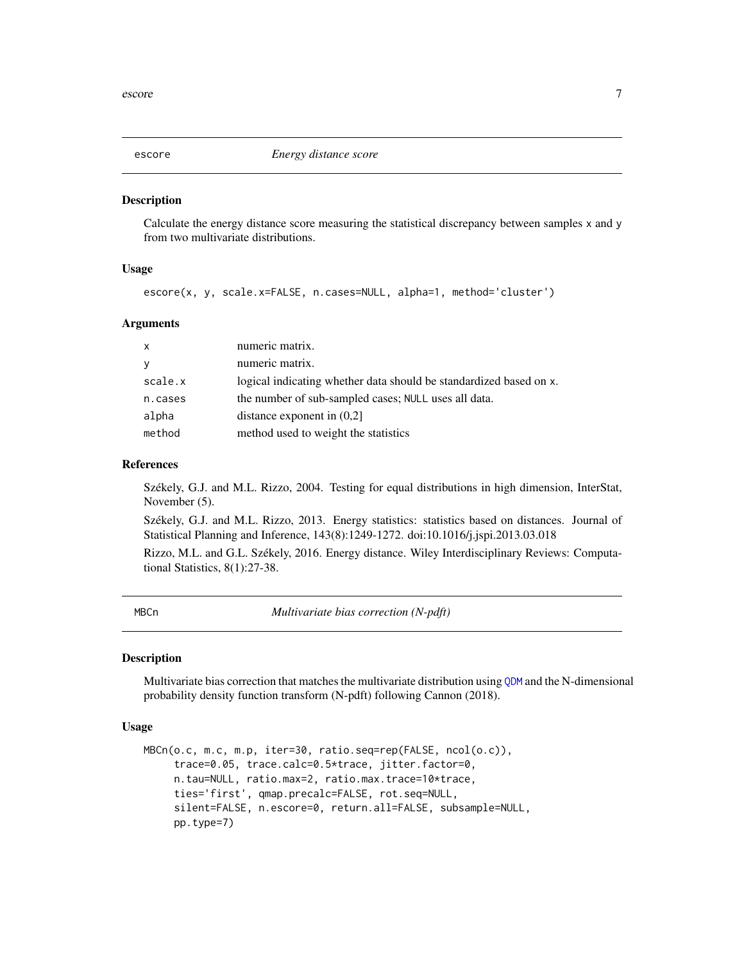<span id="page-6-1"></span><span id="page-6-0"></span>

# Description

Calculate the energy distance score measuring the statistical discrepancy between samples x and y from two multivariate distributions.

# Usage

```
escore(x, y, scale.x=FALSE, n.cases=NULL, alpha=1, method='cluster')
```
#### Arguments

| X       | numeric matrix.                                                    |
|---------|--------------------------------------------------------------------|
| У       | numeric matrix.                                                    |
| scale.x | logical indicating whether data should be standardized based on x. |
| n.cases | the number of sub-sampled cases; NULL uses all data.               |
| alpha   | distance exponent in $(0,2)$                                       |
| method  | method used to weight the statistics                               |

#### References

Székely, G.J. and M.L. Rizzo, 2004. Testing for equal distributions in high dimension, InterStat, November (5).

Székely, G.J. and M.L. Rizzo, 2013. Energy statistics: statistics based on distances. Journal of Statistical Planning and Inference, 143(8):1249-1272. doi:10.1016/j.jspi.2013.03.018

Rizzo, M.L. and G.L. Székely, 2016. Energy distance. Wiley Interdisciplinary Reviews: Computational Statistics, 8(1):27-38.

<span id="page-6-2"></span>

MBCn *Multivariate bias correction (N-pdft)*

#### Description

Multivariate bias correction that matches the multivariate distribution using [QDM](#page-12-1) and the N-dimensional probability density function transform (N-pdft) following Cannon (2018).

## Usage

```
MBCn(o.c, m.c, m.p, iter=30, ratio.seq=rep(FALSE, ncol(o.c)),
     trace=0.05, trace.calc=0.5*trace, jitter.factor=0,
     n.tau=NULL, ratio.max=2, ratio.max.trace=10*trace,
     ties='first', qmap.precalc=FALSE, rot.seq=NULL,
     silent=FALSE, n.escore=0, return.all=FALSE, subsample=NULL,
     pp.type=7)
```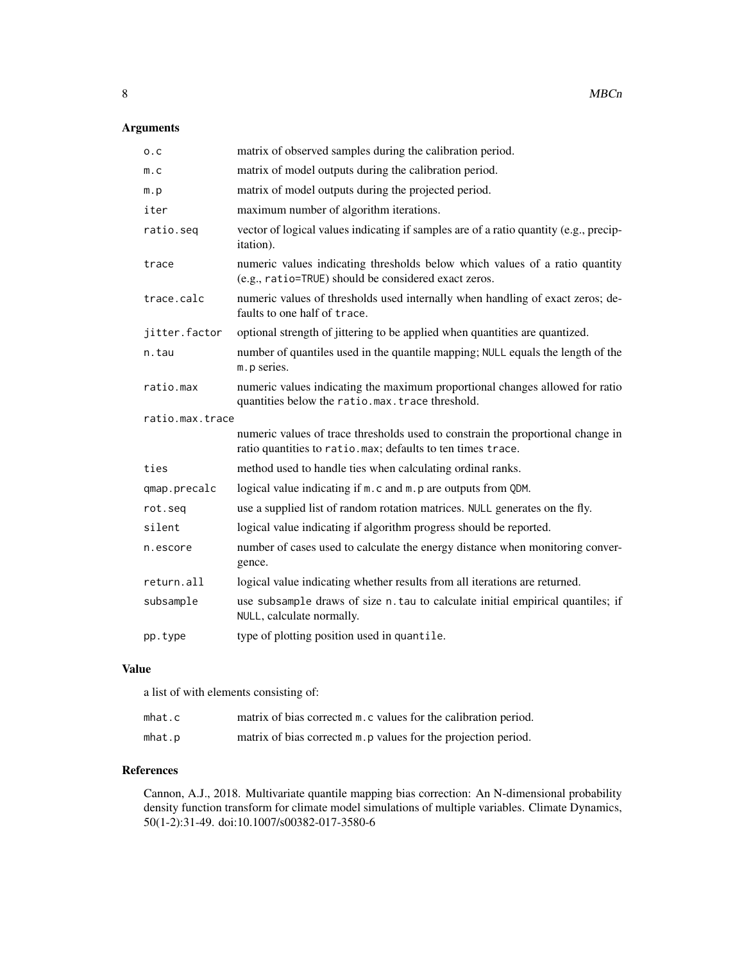# Arguments

| 0.C             | matrix of observed samples during the calibration period.                                                                                      |
|-----------------|------------------------------------------------------------------------------------------------------------------------------------------------|
| m.c             | matrix of model outputs during the calibration period.                                                                                         |
| m.p             | matrix of model outputs during the projected period.                                                                                           |
| iter            | maximum number of algorithm iterations.                                                                                                        |
| ratio.seq       | vector of logical values indicating if samples are of a ratio quantity (e.g., precip-<br>itation).                                             |
| trace           | numeric values indicating thresholds below which values of a ratio quantity<br>(e.g., ratio=TRUE) should be considered exact zeros.            |
| trace.calc      | numeric values of thresholds used internally when handling of exact zeros; de-<br>faults to one half of trace.                                 |
| jitter.factor   | optional strength of jittering to be applied when quantities are quantized.                                                                    |
| n.tau           | number of quantiles used in the quantile mapping; NULL equals the length of the<br>m. p series.                                                |
| ratio.max       | numeric values indicating the maximum proportional changes allowed for ratio<br>quantities below the ratio.max.trace threshold.                |
| ratio.max.trace |                                                                                                                                                |
|                 | numeric values of trace thresholds used to constrain the proportional change in<br>ratio quantities to ratio.max; defaults to ten times trace. |
| ties            | method used to handle ties when calculating ordinal ranks.                                                                                     |
| qmap.precalc    | logical value indicating if m. c and m. p are outputs from QDM.                                                                                |
| rot.seg         | use a supplied list of random rotation matrices. NULL generates on the fly.                                                                    |
| silent          | logical value indicating if algorithm progress should be reported.                                                                             |
| n.escore        | number of cases used to calculate the energy distance when monitoring conver-<br>gence.                                                        |
| return.all      | logical value indicating whether results from all iterations are returned.                                                                     |
| subsample       | use subsample draws of size n. tau to calculate initial empirical quantiles; if<br>NULL, calculate normally.                                   |
| pp.type         | type of plotting position used in quantile.                                                                                                    |

# Value

a list of with elements consisting of:

| mhat.c | matrix of bias corrected m. c values for the calibration period. |
|--------|------------------------------------------------------------------|
| mhat.p | matrix of bias corrected m. p values for the projection period.  |

# References

Cannon, A.J., 2018. Multivariate quantile mapping bias correction: An N-dimensional probability density function transform for climate model simulations of multiple variables. Climate Dynamics, 50(1-2):31-49. doi:10.1007/s00382-017-3580-6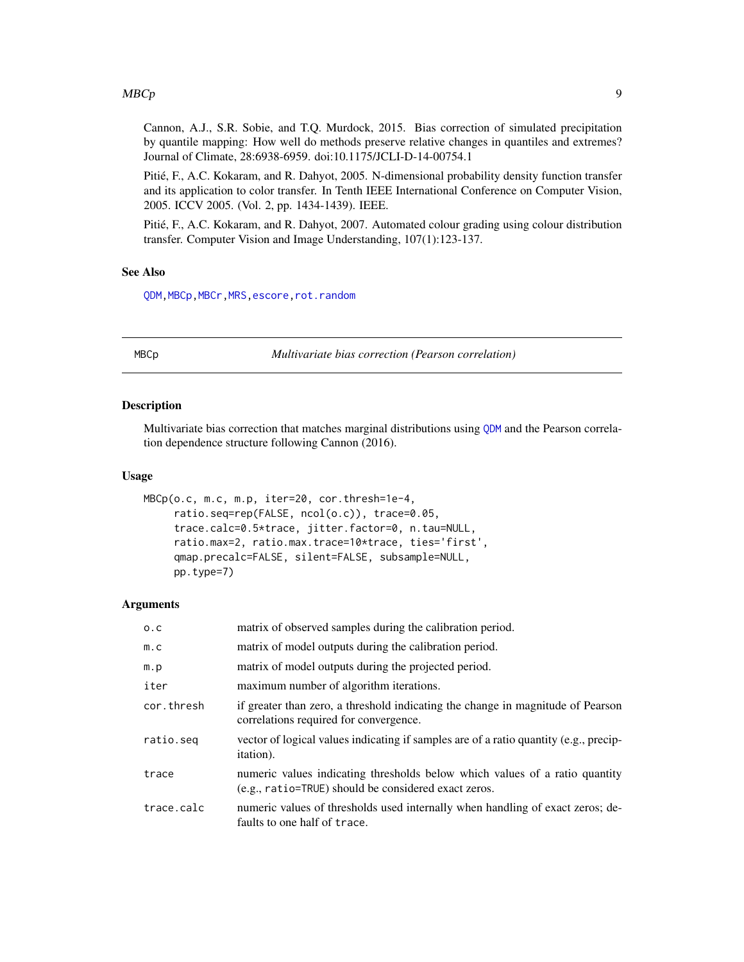#### <span id="page-8-0"></span> $MBCp$  9

Cannon, A.J., S.R. Sobie, and T.Q. Murdock, 2015. Bias correction of simulated precipitation by quantile mapping: How well do methods preserve relative changes in quantiles and extremes? Journal of Climate, 28:6938-6959. doi:10.1175/JCLI-D-14-00754.1

Pitié, F., A.C. Kokaram, and R. Dahyot, 2005. N-dimensional probability density function transfer and its application to color transfer. In Tenth IEEE International Conference on Computer Vision, 2005. ICCV 2005. (Vol. 2, pp. 1434-1439). IEEE.

Pitié, F., A.C. Kokaram, and R. Dahyot, 2007. Automated colour grading using colour distribution transfer. Computer Vision and Image Understanding, 107(1):123-137.

# See Also

[QDM](#page-12-1)[,MBCp](#page-8-1)[,MBCr](#page-9-1)[,MRS](#page-11-1)[,escore,](#page-6-1)[rot.random](#page-15-1)

<span id="page-8-1"></span>MBCp *Multivariate bias correction (Pearson correlation)*

#### Description

Multivariate bias correction that matches marginal distributions using [QDM](#page-12-1) and the Pearson correlation dependence structure following Cannon (2016).

#### Usage

```
MBCp(o.c, m.c, m.p, iter=20, cor.thresh=1e-4,
     ratio.seq=rep(FALSE, ncol(o.c)), trace=0.05,
     trace.calc=0.5*trace, jitter.factor=0, n.tau=NULL,
     ratio.max=2, ratio.max.trace=10*trace, ties='first',
     qmap.precalc=FALSE, silent=FALSE, subsample=NULL,
     pp.type=7)
```
#### Arguments

| 0.C        | matrix of observed samples during the calibration period.                                                                           |
|------------|-------------------------------------------------------------------------------------------------------------------------------------|
| m.c        | matrix of model outputs during the calibration period.                                                                              |
| m.p        | matrix of model outputs during the projected period.                                                                                |
| iter       | maximum number of algorithm iterations.                                                                                             |
| cor.thresh | if greater than zero, a threshold indicating the change in magnitude of Pearson<br>correlations required for convergence.           |
| ratio.seg  | vector of logical values indicating if samples are of a ratio quantity (e.g., precip-<br><i>itation</i> ).                          |
| trace      | numeric values indicating thresholds below which values of a ratio quantity<br>(e.g., ratio=TRUE) should be considered exact zeros. |
| trace.calc | numeric values of thresholds used internally when handling of exact zeros; de-<br>faults to one half of trace.                      |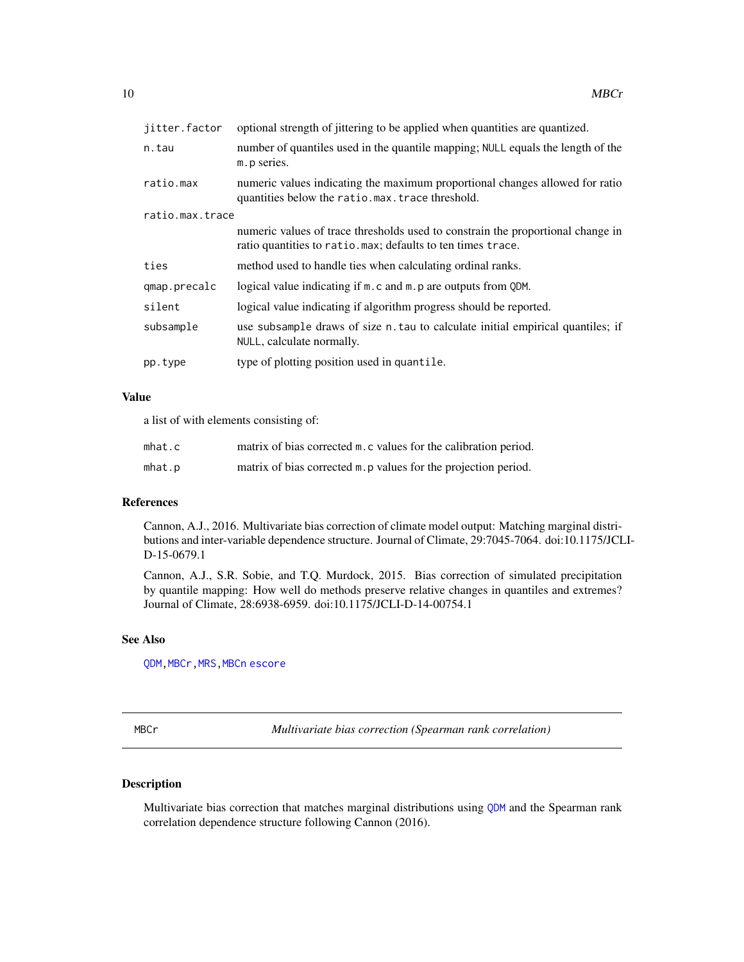<span id="page-9-0"></span>

| jitter.factor   | optional strength of jittering to be applied when quantities are quantized.                                                                    |  |
|-----------------|------------------------------------------------------------------------------------------------------------------------------------------------|--|
| n.tau           | number of quantiles used in the quantile mapping; NULL equals the length of the<br>m. p series.                                                |  |
| ratio.max       | numeric values indicating the maximum proportional changes allowed for ratio<br>quantities below the ratio.max.trace threshold.                |  |
| ratio.max.trace |                                                                                                                                                |  |
|                 | numeric values of trace thresholds used to constrain the proportional change in<br>ratio quantities to ratio.max; defaults to ten times trace. |  |
| ties            | method used to handle ties when calculating ordinal ranks.                                                                                     |  |
| qmap.precalc    | logical value indicating if m. c and m. p are outputs from QDM.                                                                                |  |
| silent          | logical value indicating if algorithm progress should be reported.                                                                             |  |
| subsample       | use subsample draws of size n. tau to calculate initial empirical quantiles; if<br>NULL, calculate normally.                                   |  |
| pp.type         | type of plotting position used in quantile.                                                                                                    |  |

# Value

a list of with elements consisting of:

| mhat.c | matrix of bias corrected m.c values for the calibration period. |
|--------|-----------------------------------------------------------------|
| mhat.p | matrix of bias corrected m. p values for the projection period. |

#### References

Cannon, A.J., 2016. Multivariate bias correction of climate model output: Matching marginal distributions and inter-variable dependence structure. Journal of Climate, 29:7045-7064. doi:10.1175/JCLI-D-15-0679.1

Cannon, A.J., S.R. Sobie, and T.Q. Murdock, 2015. Bias correction of simulated precipitation by quantile mapping: How well do methods preserve relative changes in quantiles and extremes? Journal of Climate, 28:6938-6959. doi:10.1175/JCLI-D-14-00754.1

# See Also

[QDM](#page-12-1)[,MBCr](#page-9-1)[,MRS](#page-11-1)[,MBCn](#page-6-2) [escore](#page-6-1)

<span id="page-9-1"></span>MBCr *Multivariate bias correction (Spearman rank correlation)*

# Description

Multivariate bias correction that matches marginal distributions using [QDM](#page-12-1) and the Spearman rank correlation dependence structure following Cannon (2016).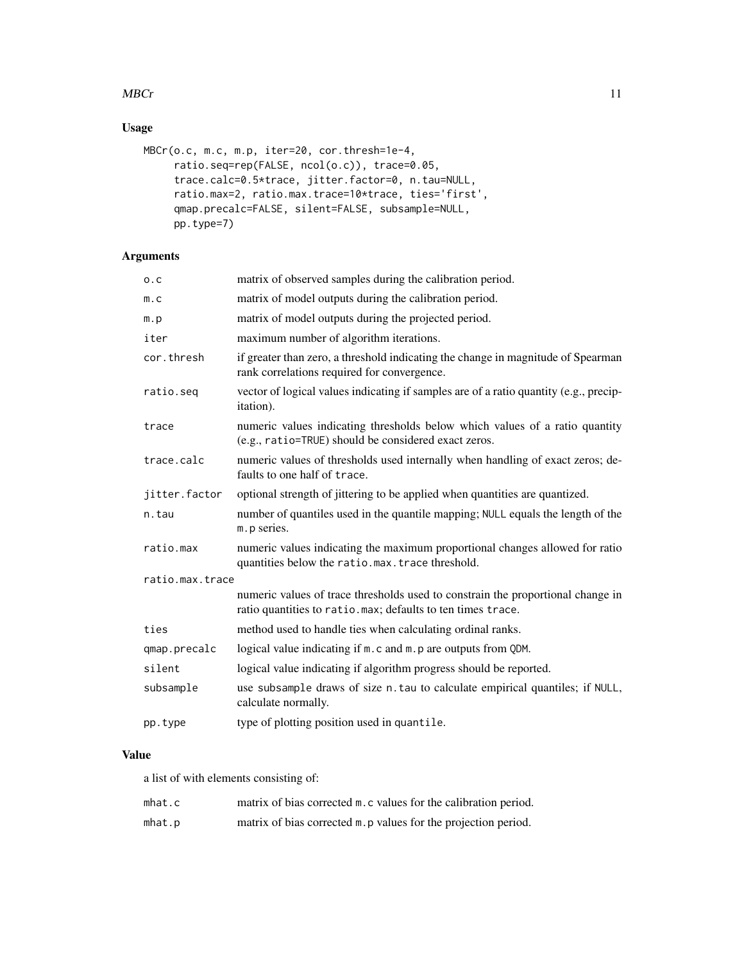# $MBCr$  11

# Usage

```
MBCr(o.c, m.c, m.p, iter=20, cor.thresh=1e-4,
     ratio.seq=rep(FALSE, ncol(o.c)), trace=0.05,
     trace.calc=0.5*trace, jitter.factor=0, n.tau=NULL,
     ratio.max=2, ratio.max.trace=10*trace, ties='first',
     qmap.precalc=FALSE, silent=FALSE, subsample=NULL,
     pp.type=7)
```
# Arguments

| 0.C             | matrix of observed samples during the calibration period.                                                                                      |  |
|-----------------|------------------------------------------------------------------------------------------------------------------------------------------------|--|
| m.c             | matrix of model outputs during the calibration period.                                                                                         |  |
| m.p             | matrix of model outputs during the projected period.                                                                                           |  |
| iter            | maximum number of algorithm iterations.                                                                                                        |  |
| cor.thresh      | if greater than zero, a threshold indicating the change in magnitude of Spearman<br>rank correlations required for convergence.                |  |
| ratio.seq       | vector of logical values indicating if samples are of a ratio quantity (e.g., precip-<br>itation).                                             |  |
| trace           | numeric values indicating thresholds below which values of a ratio quantity<br>(e.g., ratio=TRUE) should be considered exact zeros.            |  |
| trace.calc      | numeric values of thresholds used internally when handling of exact zeros; de-<br>faults to one half of trace.                                 |  |
| jitter.factor   | optional strength of jittering to be applied when quantities are quantized.                                                                    |  |
| n.tau           | number of quantiles used in the quantile mapping; NULL equals the length of the<br>m. p series.                                                |  |
| ratio.max       | numeric values indicating the maximum proportional changes allowed for ratio<br>quantities below the ratio.max.trace threshold.                |  |
| ratio.max.trace |                                                                                                                                                |  |
|                 | numeric values of trace thresholds used to constrain the proportional change in<br>ratio quantities to ratio.max; defaults to ten times trace. |  |
| ties            | method used to handle ties when calculating ordinal ranks.                                                                                     |  |
| qmap.precalc    | logical value indicating if m. c and m. p are outputs from QDM.                                                                                |  |
| silent          | logical value indicating if algorithm progress should be reported.                                                                             |  |
| subsample       | use subsample draws of size n. tau to calculate empirical quantiles; if NULL,<br>calculate normally.                                           |  |
| pp.type         | type of plotting position used in quantile.                                                                                                    |  |
|                 |                                                                                                                                                |  |

# Value

a list of with elements consisting of:

| mhat.c | matrix of bias corrected m. c values for the calibration period. |
|--------|------------------------------------------------------------------|
| mhat.p | matrix of bias corrected m. p values for the projection period.  |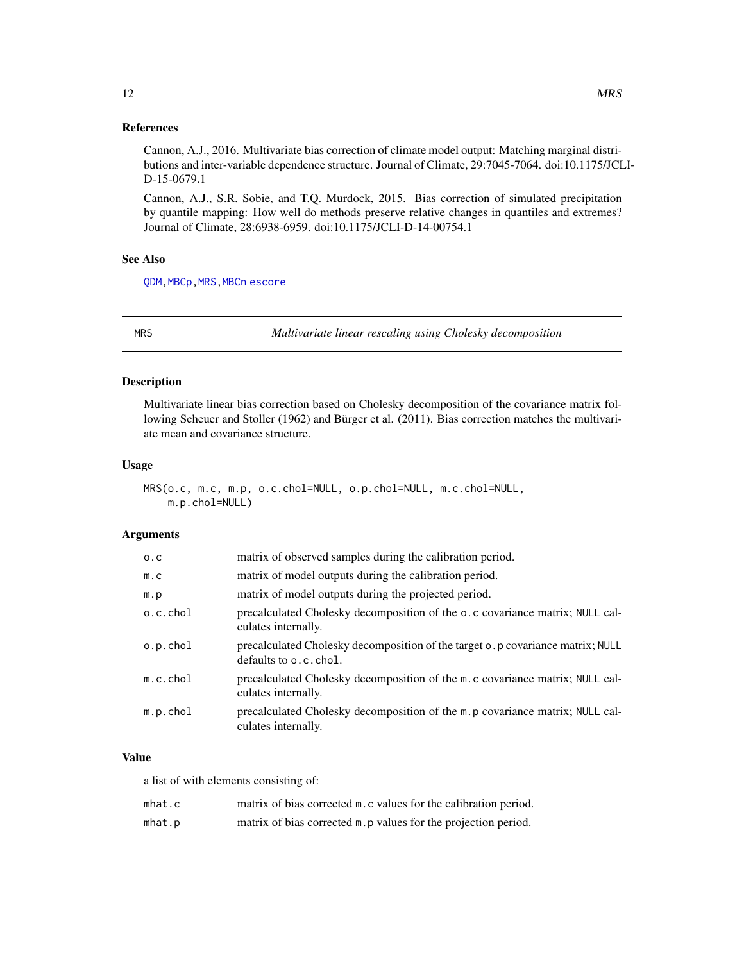# <span id="page-11-0"></span>References

Cannon, A.J., 2016. Multivariate bias correction of climate model output: Matching marginal distributions and inter-variable dependence structure. Journal of Climate, 29:7045-7064. doi:10.1175/JCLI-D-15-0679.1

Cannon, A.J., S.R. Sobie, and T.Q. Murdock, 2015. Bias correction of simulated precipitation by quantile mapping: How well do methods preserve relative changes in quantiles and extremes? Journal of Climate, 28:6938-6959. doi:10.1175/JCLI-D-14-00754.1

#### See Also

[QDM](#page-12-1)[,MBCp](#page-8-1)[,MRS](#page-11-1)[,MBCn](#page-6-2) [escore](#page-6-1)

<span id="page-11-1"></span>

MRS *Multivariate linear rescaling using Cholesky decomposition*

# Description

Multivariate linear bias correction based on Cholesky decomposition of the covariance matrix following Scheuer and Stoller (1962) and Bürger et al. (2011). Bias correction matches the multivariate mean and covariance structure.

#### Usage

```
MRS(o.c, m.c, m.p, o.c.chol=NULL, o.p.chol=NULL, m.c.chol=NULL,
   m.p.chol=NULL)
```
# Arguments

| 0.C         | matrix of observed samples during the calibration period.                                                |
|-------------|----------------------------------------------------------------------------------------------------------|
| m.c         | matrix of model outputs during the calibration period.                                                   |
| m.p         | matrix of model outputs during the projected period.                                                     |
| o.c.chol    | precalculated Cholesky decomposition of the o.c covariance matrix; NULL cal-<br>culates internally.      |
| o.p.chol    | precalculated Cholesky decomposition of the target o. p covariance matrix; NULL<br>defaults to o.c.chol. |
| $m.c.$ chol | precalculated Cholesky decomposition of the m.c covariance matrix; NULL cal-<br>culates internally.      |
| $m.p.$ chol | precalculated Cholesky decomposition of the m. p covariance matrix; NULL cal-<br>culates internally.     |

# Value

a list of with elements consisting of:

| mhat.c | matrix of bias corrected m. c values for the calibration period. |
|--------|------------------------------------------------------------------|
| mhat.p | matrix of bias corrected m. p values for the projection period.  |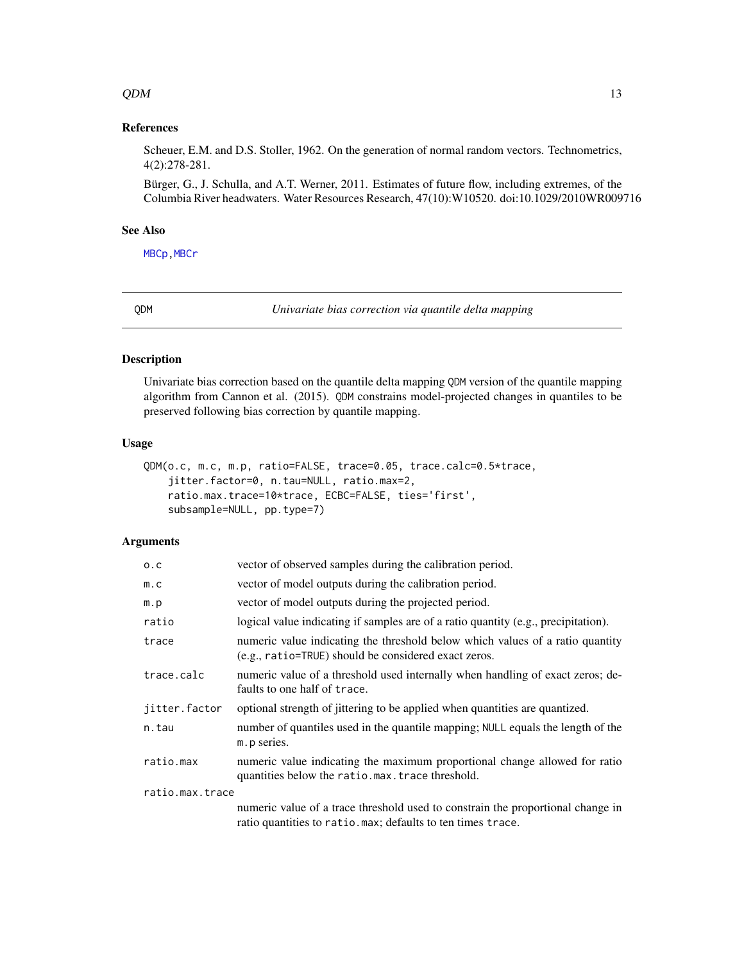### <span id="page-12-0"></span> $QDM$  13

# References

Scheuer, E.M. and D.S. Stoller, 1962. On the generation of normal random vectors. Technometrics, 4(2):278-281.

Bürger, G., J. Schulla, and A.T. Werner, 2011. Estimates of future flow, including extremes, of the Columbia River headwaters. Water Resources Research, 47(10):W10520. doi:10.1029/2010WR009716

# See Also

[MBCp](#page-8-1), MBCr

<span id="page-12-1"></span>QDM *Univariate bias correction via quantile delta mapping*

# Description

Univariate bias correction based on the quantile delta mapping QDM version of the quantile mapping algorithm from Cannon et al. (2015). QDM constrains model-projected changes in quantiles to be preserved following bias correction by quantile mapping.

#### Usage

```
QDM(o.c, m.c, m.p, ratio=FALSE, trace=0.05, trace.calc=0.5*trace,
    jitter.factor=0, n.tau=NULL, ratio.max=2,
   ratio.max.trace=10*trace, ECBC=FALSE, ties='first',
   subsample=NULL, pp.type=7)
```
# Arguments

| 0.C             | vector of observed samples during the calibration period.                                                                                       |
|-----------------|-------------------------------------------------------------------------------------------------------------------------------------------------|
| m.c             | vector of model outputs during the calibration period.                                                                                          |
| m.p             | vector of model outputs during the projected period.                                                                                            |
| ratio           | logical value indicating if samples are of a ratio quantity $(e.g.,\,i>precision)$ .                                                            |
| trace           | numeric value indicating the threshold below which values of a ratio quantity<br>(e.g., ratio=TRUE) should be considered exact zeros.           |
| trace.calc      | numeric value of a threshold used internally when handling of exact zeros; de-<br>faults to one half of trace.                                  |
| jitter.factor   | optional strength of jittering to be applied when quantities are quantized.                                                                     |
| n.tau           | number of quantiles used in the quantile mapping; NULL equals the length of the<br>m. p series.                                                 |
| ratio.max       | numeric value indicating the maximum proportional change allowed for ratio<br>quantities below the ratio.max.trace threshold.                   |
| ratio.max.trace |                                                                                                                                                 |
|                 | numeric value of a trace threshold used to constrain the proportional change in<br>ratio quantities to ratio. max; defaults to ten times trace. |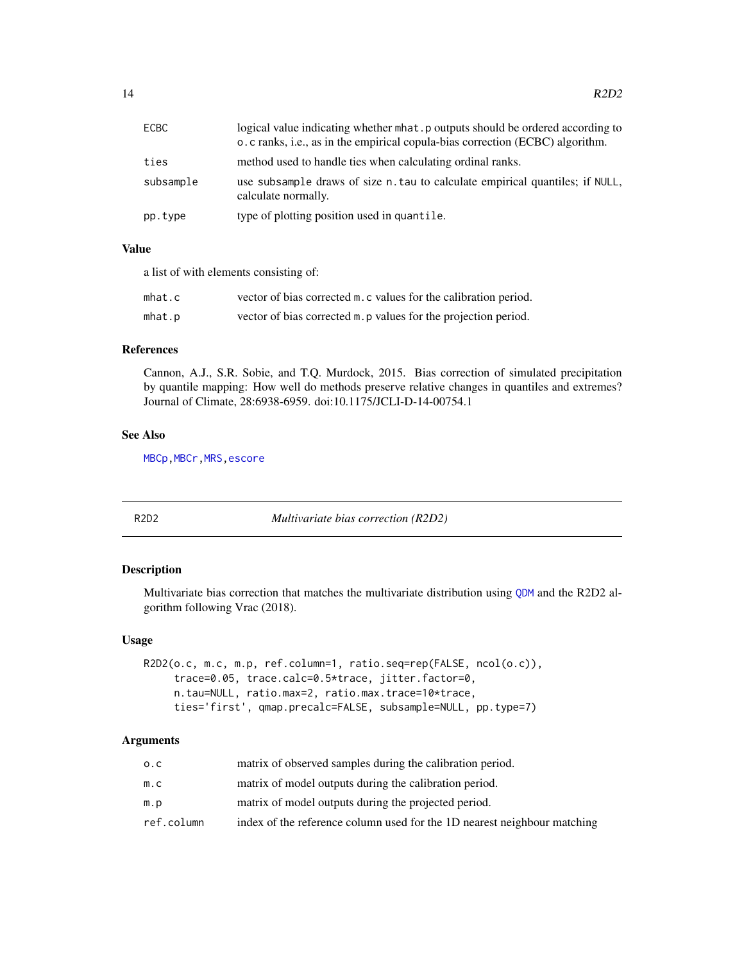<span id="page-13-0"></span>

| ECBC      | logical value indicating whether mhat.p outputs should be ordered according to<br>o. c ranks, i.e., as in the empirical copula-bias correction (ECBC) algorithm. |
|-----------|------------------------------------------------------------------------------------------------------------------------------------------------------------------|
| ties      | method used to handle ties when calculating ordinal ranks.                                                                                                       |
| subsample | use subsample draws of size n. tau to calculate empirical quantiles; if NULL,<br>calculate normally.                                                             |
| pp.type   | type of plotting position used in quantile.                                                                                                                      |

# Value

a list of with elements consisting of:

| mhat.c | vector of bias corrected m.c values for the calibration period. |
|--------|-----------------------------------------------------------------|
| mhat.p | vector of bias corrected m. p values for the projection period. |

# References

Cannon, A.J., S.R. Sobie, and T.Q. Murdock, 2015. Bias correction of simulated precipitation by quantile mapping: How well do methods preserve relative changes in quantiles and extremes? Journal of Climate, 28:6938-6959. doi:10.1175/JCLI-D-14-00754.1

# See Also

[MBCp](#page-8-1)[,MBCr](#page-9-1)[,MRS](#page-11-1)[,escore](#page-6-1)

<span id="page-13-1"></span>

R2D2 *Multivariate bias correction (R2D2)*

# Description

Multivariate bias correction that matches the multivariate distribution using [QDM](#page-12-1) and the R2D2 algorithm following Vrac (2018).

# Usage

```
R2D2(o.c, m.c, m.p, ref.column=1, ratio.seq=rep(FALSE, ncol(o.c)),
     trace=0.05, trace.calc=0.5*trace, jitter.factor=0,
     n.tau=NULL, ratio.max=2, ratio.max.trace=10*trace,
     ties='first', qmap.precalc=FALSE, subsample=NULL, pp.type=7)
```
# Arguments

| 0.C        | matrix of observed samples during the calibration period.                |
|------------|--------------------------------------------------------------------------|
| m.c        | matrix of model outputs during the calibration period.                   |
| m.p        | matrix of model outputs during the projected period.                     |
| ref.column | index of the reference column used for the 1D nearest neighbour matching |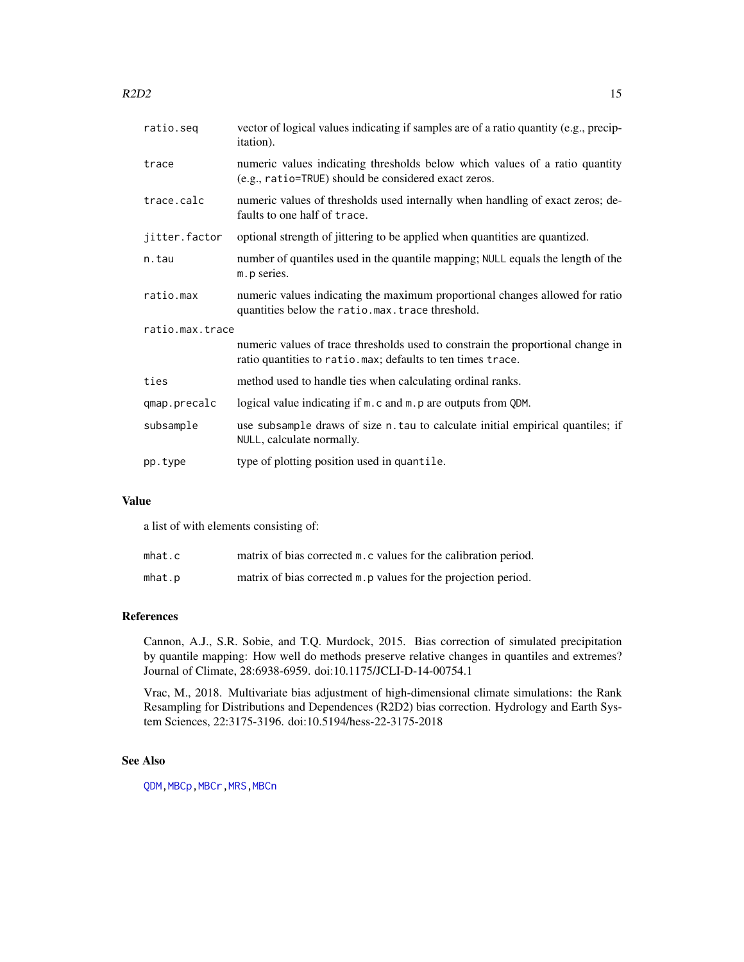<span id="page-14-0"></span>

| ratio.seg       | vector of logical values indicating if samples are of a ratio quantity (e.g., precip-<br>itation).                                             |  |
|-----------------|------------------------------------------------------------------------------------------------------------------------------------------------|--|
| trace           | numeric values indicating thresholds below which values of a ratio quantity<br>(e.g., ratio=TRUE) should be considered exact zeros.            |  |
| trace.calc      | numeric values of thresholds used internally when handling of exact zeros; de-<br>faults to one half of trace.                                 |  |
| jitter.factor   | optional strength of jittering to be applied when quantities are quantized.                                                                    |  |
| n.tau           | number of quantiles used in the quantile mapping; NULL equals the length of the<br>m. p series.                                                |  |
| ratio.max       | numeric values indicating the maximum proportional changes allowed for ratio<br>quantities below the ratio.max.trace threshold.                |  |
| ratio.max.trace |                                                                                                                                                |  |
|                 | numeric values of trace thresholds used to constrain the proportional change in<br>ratio quantities to ratio.max; defaults to ten times trace. |  |
| ties            | method used to handle ties when calculating ordinal ranks.                                                                                     |  |
| qmap.precalc    | logical value indicating if m. c and m. p are outputs from QDM.                                                                                |  |
| subsample       | use subsample draws of size n. tau to calculate initial empirical quantiles; if<br>NULL, calculate normally.                                   |  |
| pp.type         | type of plotting position used in quantile.                                                                                                    |  |
|                 |                                                                                                                                                |  |

# Value

a list of with elements consisting of:

| mhat.c | matrix of bias corrected m. c values for the calibration period. |
|--------|------------------------------------------------------------------|
| mhat.p | matrix of bias corrected m. p values for the projection period.  |

# References

Cannon, A.J., S.R. Sobie, and T.Q. Murdock, 2015. Bias correction of simulated precipitation by quantile mapping: How well do methods preserve relative changes in quantiles and extremes? Journal of Climate, 28:6938-6959. doi:10.1175/JCLI-D-14-00754.1

Vrac, M., 2018. Multivariate bias adjustment of high-dimensional climate simulations: the Rank Resampling for Distributions and Dependences (R2D2) bias correction. Hydrology and Earth System Sciences, 22:3175-3196. doi:10.5194/hess-22-3175-2018

# See Also

[QDM](#page-12-1)[,MBCp](#page-8-1)[,MBCr](#page-9-1)[,MRS](#page-11-1)[,MBCn](#page-6-2)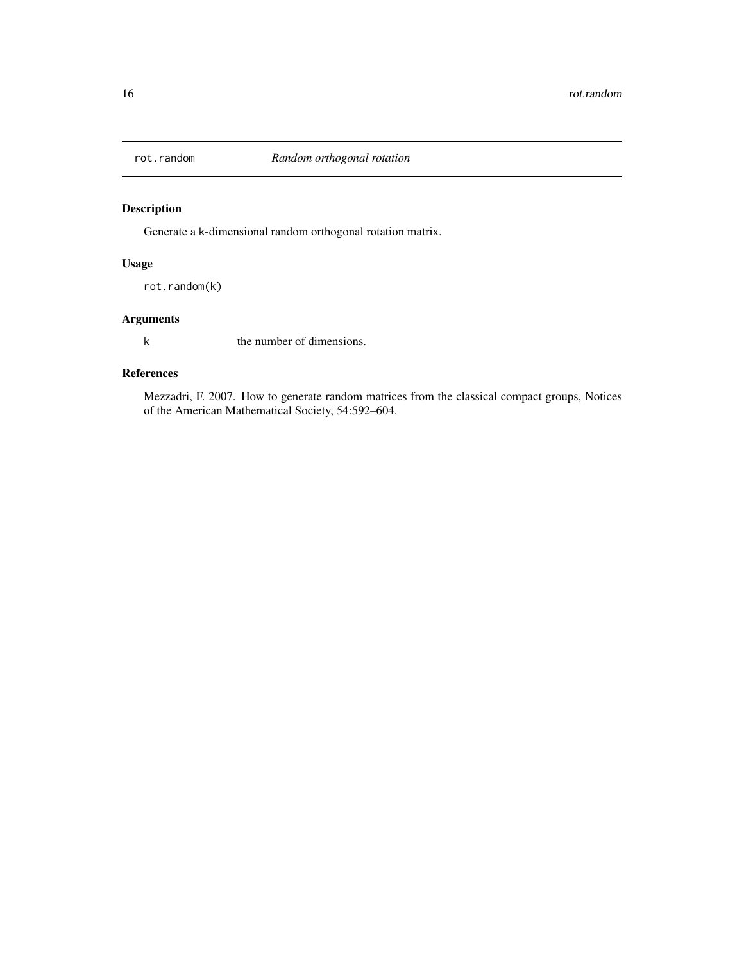<span id="page-15-1"></span><span id="page-15-0"></span>

# Description

Generate a k-dimensional random orthogonal rotation matrix.

# Usage

rot.random(k)

# Arguments

k the number of dimensions.

# References

Mezzadri, F. 2007. How to generate random matrices from the classical compact groups, Notices of the American Mathematical Society, 54:592–604.